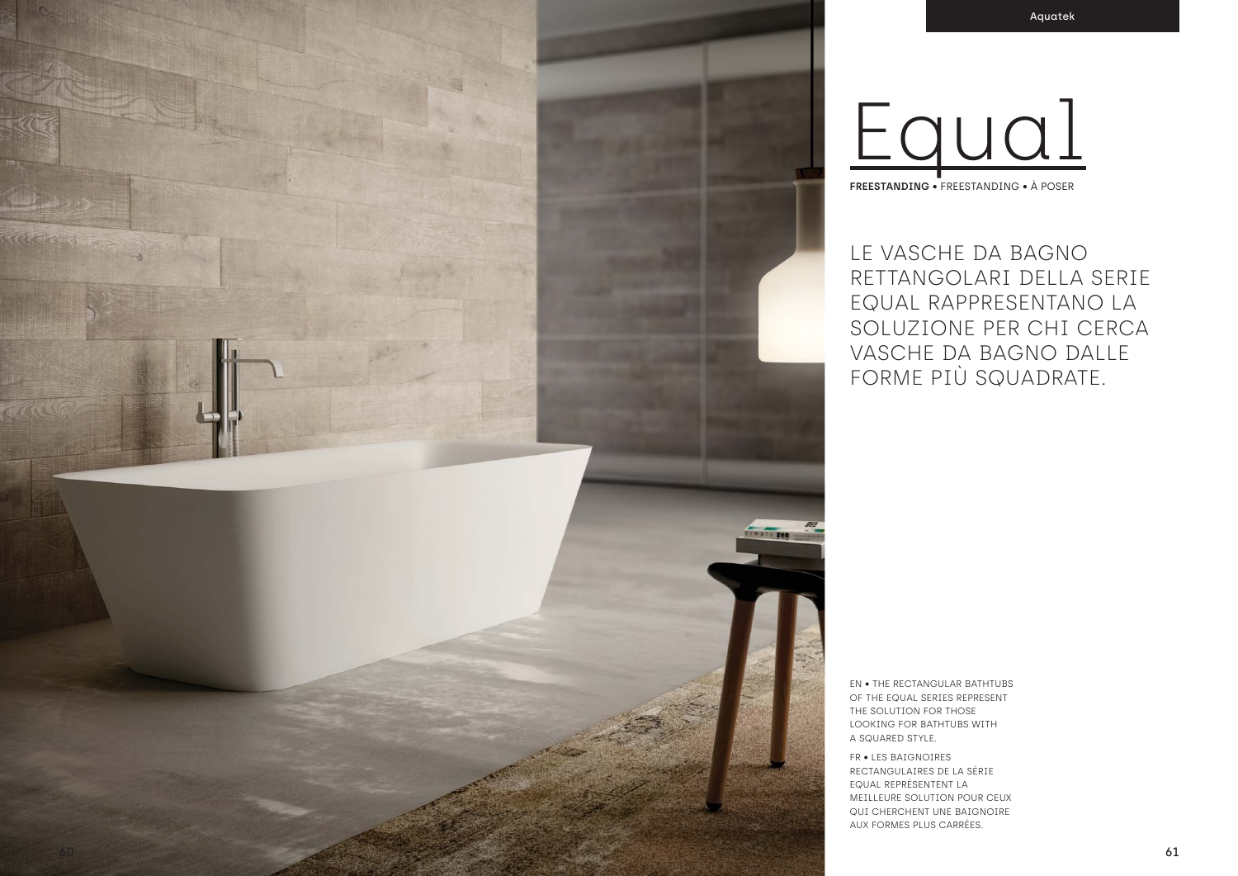LE VASCHE DA BAGNO RETTANGOLARI DELLA SERIE EQUAL RAPPRESENTANO LA SOLUZIONE PER CHI CERCA VASCHE DA BAGNO DALLE FORME PIÙ SQUADRATE.

EN • THE RECTANGULAR BATHTUBS

OF THE EQUAL SERIES REPRESENT THE SOLUTION FOR THOSE LOOKING FOR BATHTUBS WITH A SQUARED STYLE. FR • LES BAIGNOIRES RECTANGULAIRES DE LA SÉRIE EQUAL REPRÉSENTENT LA MEILLEURE SOLUTION POUR CEUX QUI CHERCHENT UNE BAIGNOIRE AUX FORMES PLUS CARRÉES.



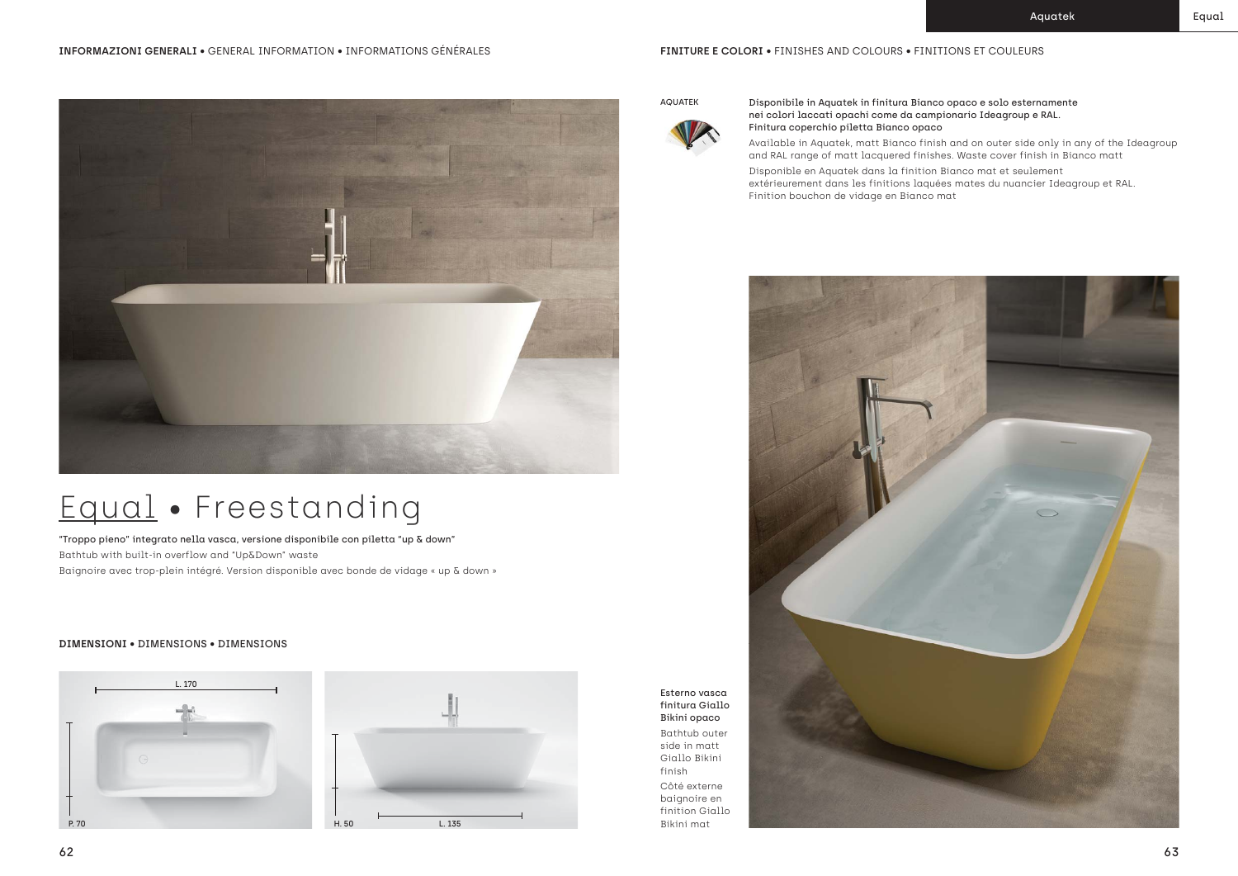"Troppo pieno" integrato nella vasca, versione disponibile con piletta "up & down" Bathtub with built-in overflow and "Up&Down" waste Baignoire avec trop-plein intégré. Version disponible avec bonde de vidage « up & down »

## **DIMENSIONI** • DIMENSIONS • DIMENSIONS







AQUATEK Disponibile in Aquatek in finitura Bianco opaco e solo esternamente nei colori laccati opachi come da campionario Ideagroup e RAL. Finitura coperchio piletta Bianco opaco

Available in Aquatek, matt Bianco finish and on outer side only in any of the Ideagroup and RAL range of matt lacquered finishes. Waste cover finish in Bianco matt

Disponible en Aquatek dans la finition Bianco mat et seulement extérieurement dans les finitions laquées mates du nuancier Ideagroup et RAL. Finition bouchon de vidage en Bianco mat





Esterno vasca finitura Giallo Bikini opaco Bathtub outer side in matt Giallo Bikini

finish

Côté externe baignoire en finition Giallo Bikini mat

## Equal • Freestanding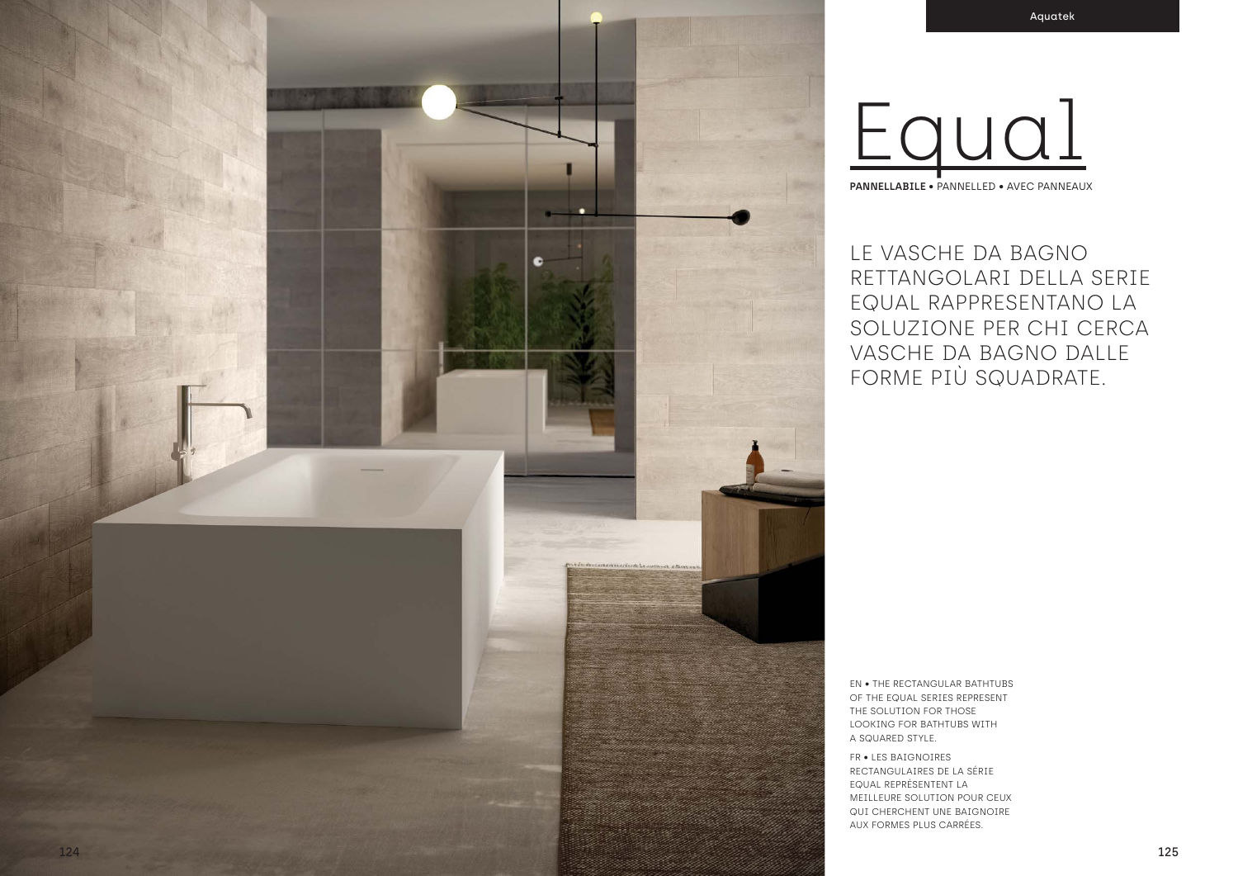

LE VASCHE DA BAGNO RETTANGOLARI DELLA SERIE EQUAL RAPPRESENTANO LA SOLUZIONE PER CHI CERCA VASCHE DA BAGNO DALLE FORME PIÙ SQUADRATE.